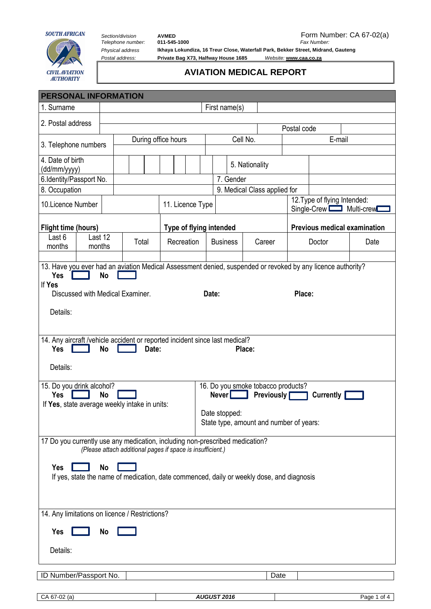

CIVIL AVIATION<br>AUTHORITY

*Telephone number:* **011-545-1000** *Fax Number:*

Section/division **AVMED**<br> *Section/division* **AVMED**<br> *Telephone number:* 011-545-1000 **For all COVID-1** *Fax Number: CA* 67-02(a) *Physical address* **Ikhaya Lokundiza, 16 Treur Close, Waterfall Park, Bekker Street, Midrand, Gauteng** *Postal address:* **Private Bag X73, Halfway House 1685** *Website:* **[www.caa.co.za](http://www.caa.co.za/)**

## **AVIATION MEDICAL REPORT**

| <b>PERSONAL INFORMATION</b>                                                                                                                |               |       |  |                  |                         |                                                                               |  |                              |                                         |                                                        |        |                                     |  |             |  |
|--------------------------------------------------------------------------------------------------------------------------------------------|---------------|-------|--|------------------|-------------------------|-------------------------------------------------------------------------------|--|------------------------------|-----------------------------------------|--------------------------------------------------------|--------|-------------------------------------|--|-------------|--|
| 1. Surname                                                                                                                                 | First name(s) |       |  |                  |                         |                                                                               |  |                              |                                         |                                                        |        |                                     |  |             |  |
| 2. Postal address                                                                                                                          |               |       |  |                  |                         |                                                                               |  |                              |                                         |                                                        |        |                                     |  |             |  |
|                                                                                                                                            |               |       |  |                  |                         |                                                                               |  |                              |                                         |                                                        |        | Postal code                         |  |             |  |
| 3. Telephone numbers                                                                                                                       |               |       |  |                  | During office hours     |                                                                               |  | Cell No.                     |                                         |                                                        | E-mail |                                     |  |             |  |
| 4. Date of birth                                                                                                                           |               |       |  |                  |                         |                                                                               |  |                              |                                         |                                                        |        |                                     |  |             |  |
| (dd/mm/yyyy)                                                                                                                               |               |       |  |                  |                         |                                                                               |  |                              |                                         | 5. Nationality                                         |        |                                     |  |             |  |
| 6.Identity/Passport No.                                                                                                                    |               |       |  |                  |                         |                                                                               |  | 7. Gender                    |                                         |                                                        |        |                                     |  |             |  |
| 8. Occupation                                                                                                                              |               |       |  |                  |                         |                                                                               |  | 9. Medical Class applied for |                                         |                                                        |        |                                     |  |             |  |
| 10.Licence Number                                                                                                                          |               |       |  | 11. Licence Type |                         |                                                                               |  |                              |                                         | 12. Type of flying Intended:<br>Single-Crew Multi-crew |        |                                     |  |             |  |
| <b>Flight time (hours)</b>                                                                                                                 |               |       |  |                  | Type of flying intended |                                                                               |  |                              |                                         |                                                        |        | <b>Previous medical examination</b> |  |             |  |
| Last 12<br>Last 6<br>months<br>months                                                                                                      |               | Total |  |                  | Recreation              |                                                                               |  | <b>Business</b>              |                                         | Career                                                 |        | Doctor                              |  | Date        |  |
| 13. Have you ever had an aviation Medical Assessment denied, suspended or revoked by any licence authority?<br><b>No</b><br>Yes<br>If Yes  |               |       |  |                  |                         |                                                                               |  |                              |                                         |                                                        |        |                                     |  |             |  |
| Discussed with Medical Examiner.                                                                                                           |               |       |  |                  | Date:                   |                                                                               |  |                              |                                         |                                                        |        | Place:                              |  |             |  |
| Details:                                                                                                                                   |               |       |  |                  |                         |                                                                               |  |                              |                                         |                                                        |        |                                     |  |             |  |
| 14. Any aircraft /vehicle accident or reported incident since last medical?<br><b>No</b><br>Date:<br><b>Yes</b><br>Place:                  |               |       |  |                  |                         |                                                                               |  |                              |                                         |                                                        |        |                                     |  |             |  |
| Details:                                                                                                                                   |               |       |  |                  |                         |                                                                               |  |                              |                                         |                                                        |        |                                     |  |             |  |
| 15. Do you drink alcohol?<br><b>No</b><br>Yes<br>If Yes, state average weekly intake in units:                                             |               |       |  |                  |                         | 16. Do you smoke tobacco products?<br>Newer<br><b>Previously</b><br>Currently |  |                              |                                         |                                                        |        |                                     |  |             |  |
| Date stopped:                                                                                                                              |               |       |  |                  |                         |                                                                               |  |                              | State type, amount and number of years: |                                                        |        |                                     |  |             |  |
| 17 Do you currently use any medication, including non-prescribed medication?<br>(Please attach additional pages if space is insufficient.) |               |       |  |                  |                         |                                                                               |  |                              |                                         |                                                        |        |                                     |  |             |  |
| <b>Yes</b><br><b>No</b><br>If yes, state the name of medication, date commenced, daily or weekly dose, and diagnosis                       |               |       |  |                  |                         |                                                                               |  |                              |                                         |                                                        |        |                                     |  |             |  |
|                                                                                                                                            |               |       |  |                  |                         |                                                                               |  |                              |                                         |                                                        |        |                                     |  |             |  |
| 14. Any limitations on licence / Restrictions?                                                                                             |               |       |  |                  |                         |                                                                               |  |                              |                                         |                                                        |        |                                     |  |             |  |
| <b>Yes</b>                                                                                                                                 | <b>No</b>     |       |  |                  |                         |                                                                               |  |                              |                                         |                                                        |        |                                     |  |             |  |
| Details:                                                                                                                                   |               |       |  |                  |                         |                                                                               |  |                              |                                         |                                                        |        |                                     |  |             |  |
| ID Number/Passport No.                                                                                                                     |               |       |  |                  |                         |                                                                               |  |                              |                                         |                                                        | Date   |                                     |  |             |  |
| CA 67-02 (a)                                                                                                                               |               |       |  |                  |                         |                                                                               |  | <b>AUGUST 2016</b>           |                                         |                                                        |        |                                     |  | Page 1 of 4 |  |